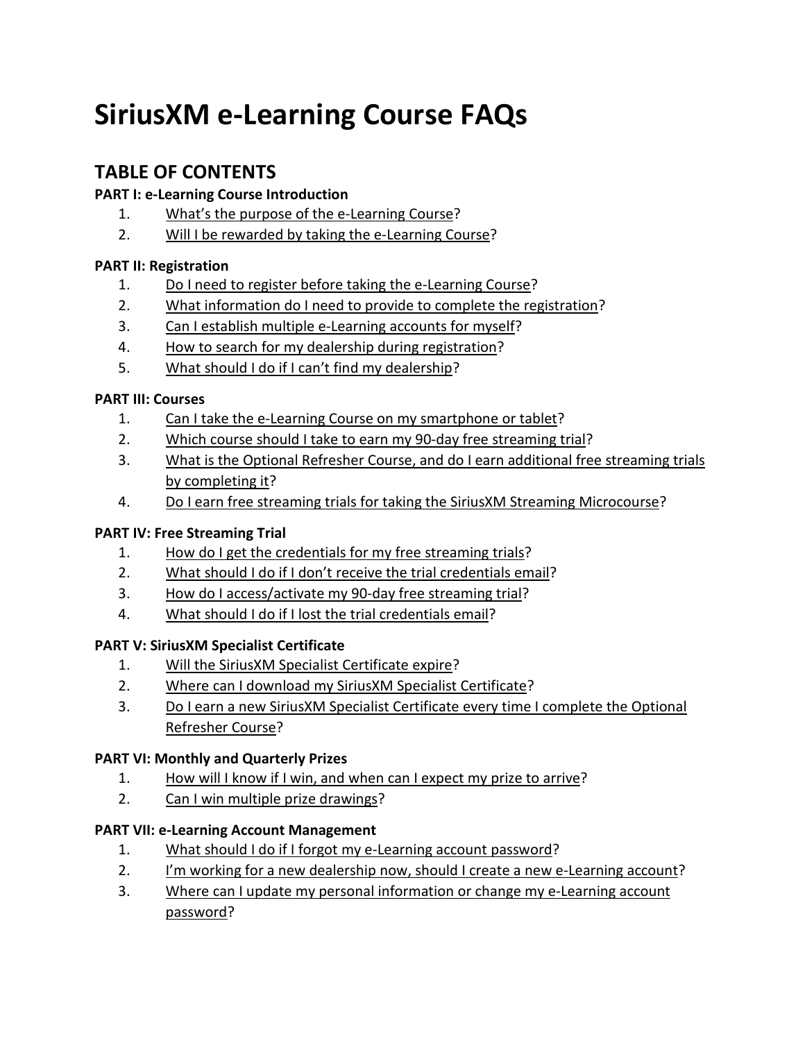# **SiriusXM e-Learning Course FAQs**

# **TABLE OF CONTENTS**

# **PART I: e-Learning Course Introduction**

- 1. What's the purpose of the e-Learning Course?
- 2. Will I be rewarded by taking the e-Learning Course?

# **PART II: Registration**

- 1. Do I need to register before taking the e-Learning Course?
- 2. What information do I need to provide to complete the registration?
- 3. Can I establish multiple e-Learning accounts for myself?
- 4. How to search for my dealership during registration?
- 5. What should I do if I can't find my dealership?

# **PART III: Courses**

- 1. Can I take the e-Learning Course on my smartphone or tablet?
- 2. Which course should I take to earn my 90-day free streaming trial?
- 3. What is the Optional Refresher Course, and do I earn additional free streaming trials by completing it?
- 4. Do I earn free streaming trials for taking the SiriusXM Streaming Microcourse?

# **PART IV: Free Streaming Trial**

- 1. How do I get the credentials for my free streaming trials?
- 2. What should I do if I don't receive the trial credentials email?
- 3. How do I access/activate my 90-day free streaming trial?
- 4. What should I do if I lost the trial credentials email?

# **PART V: SiriusXM Specialist Certificate**

- 1. Will the SiriusXM Specialist Certificate expire?
- 2. Where can I download my SiriusXM Specialist Certificate?
- 3. Do I earn a new SiriusXM Specialist Certificate every time I complete the Optional Refresher Course?

# **PART VI: Monthly and Quarterly Prizes**

- 1. How will I know if I win, and when can I expect my prize to arrive?
- 2. Can I win multiple prize drawings?

# **PART VII: e-Learning Account Management**

- 1. What should I do if I forgot my e-Learning account password?
- 2. I'm working for a new dealership now, should I create a new e-Learning account?
- 3. Where can I update my personal information or change my e-Learning account password?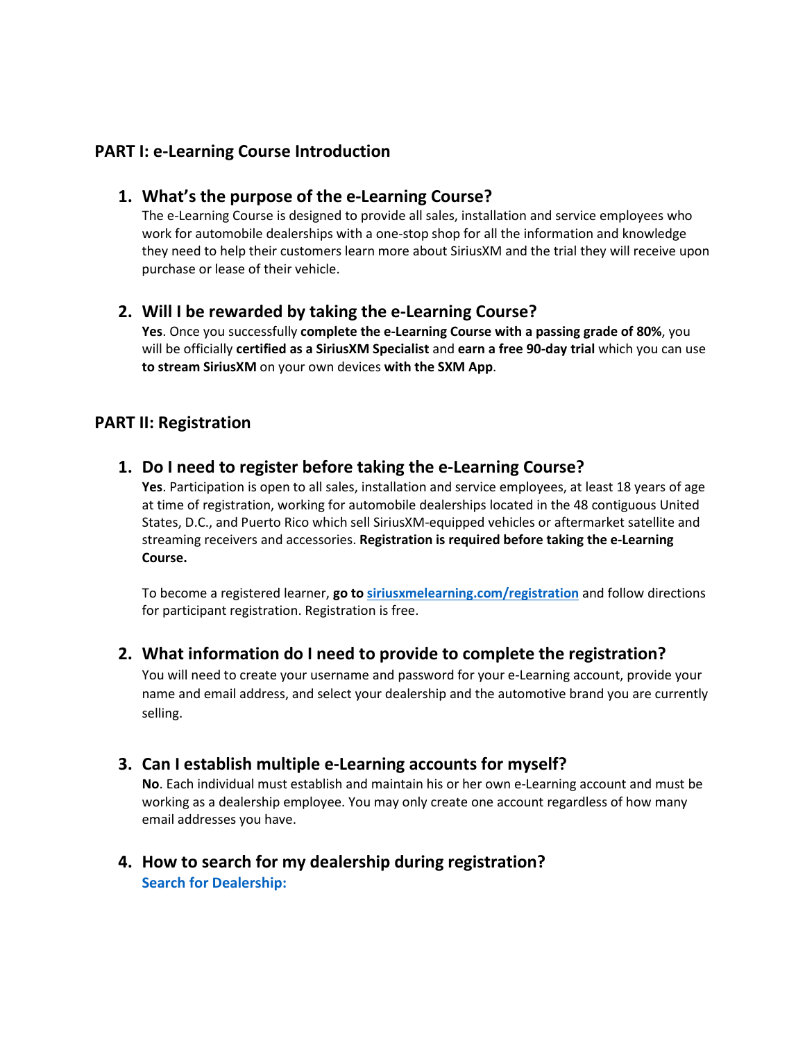# **PART I: e-Learning Course Introduction**

### **1. What's the purpose of the e-Learning Course?**

The e-Learning Course is designed to provide all sales, installation and service employees who work for automobile dealerships with a one-stop shop for all the information and knowledge they need to help their customers learn more about SiriusXM and the trial they will receive upon purchase or lease of their vehicle.

# **2. Will I be rewarded by taking the e-Learning Course?**

**Yes**. Once you successfully **complete the e-Learning Course with a passing grade of 80%**, you will be officially **certified as a SiriusXM Specialist** and **earn a free 90-day trial** which you can use **to stream SiriusXM** on your own devices **with the SXM App**.

### **PART II: Registration**

### **1. Do I need to register before taking the e-Learning Course?**

**Yes**. Participation is open to all sales, installation and service employees, at least 18 years of age at time of registration, working for automobile dealerships located in the 48 contiguous United States, D.C., and Puerto Rico which sell SiriusXM-equipped vehicles or aftermarket satellite and streaming receivers and accessories. **Registration is required before taking the e-Learning Course.**

To become a registered learner, **go to [siriusxmelearning.com/registration](https://siriusxmelearning.com/pages/Registration.aspx?op=1&UserId=-1&Action=ADD)** and follow directions for participant registration. Registration is free.

#### **2. What information do I need to provide to complete the registration?**

You will need to create your username and password for your e-Learning account, provide your name and email address, and select your dealership and the automotive brand you are currently selling.

#### **3. Can I establish multiple e-Learning accounts for myself?**

**No**. Each individual must establish and maintain his or her own e-Learning account and must be working as a dealership employee. You may only create one account regardless of how many email addresses you have.

# **4. How to search for my dealership during registration? Search for Dealership:**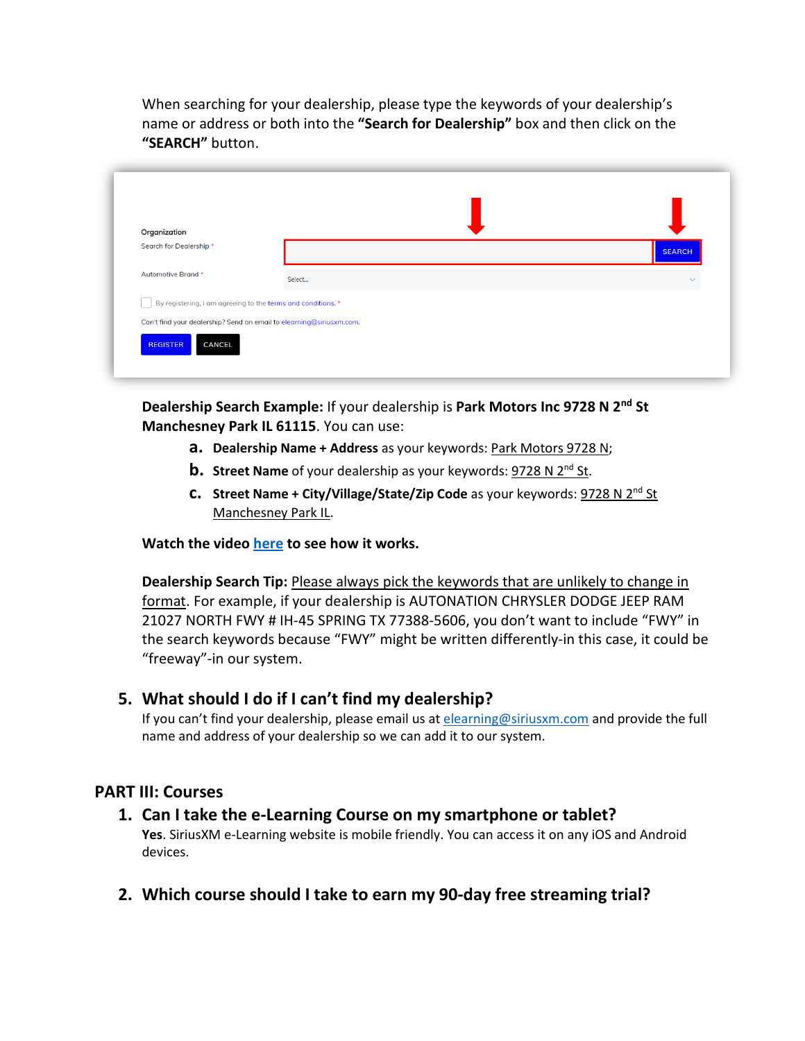When searching for your dealership, please type the keywords of your dealership's name or address or both into the **"Search for Dealership"** box and then click on the **"SEARCH"** button.

| Organization                                                                                             |        |               |
|----------------------------------------------------------------------------------------------------------|--------|---------------|
| Search for Dealership*                                                                                   |        | <b>SEARCH</b> |
| Automotive Brand *                                                                                       | Select |               |
| By registering, I am agreeing to the terms and conditions. *                                             |        |               |
| Can't find your dealership? Send an email to elearning@siriusxm.com.<br><b>CANCEL</b><br><b>REGISTER</b> |        |               |

**Dealership Search Example:** If your dealership is **Park Motors Inc 9728 N 2nd St Manchesney Park IL 61115**. You can use:

- **a. Dealership Name + Address** as your keywords: Park Motors 9728 N;
- **b. Street Name** of your dealership as your keywords: 9728 N 2<sup>nd</sup> St.
- **c. Street Name + City/Village/State/Zip Code** as your keywords: 9728 N 2<sup>nd</sup> St Manchesney Park IL.

**Watch the video [here](https://www.facebook.com/268889867069241/videos/340476020733510) to see how it works.** 

**Dealership Search Tip:** Please always pick the keywords that are unlikely to change in format. For example, if your dealership is AUTONATION CHRYSLER DODGE JEEP RAM 21027 NORTH FWY # IH-45 SPRING TX 77388-5606, you don't want to include "FWY" in the search keywords because "FWY" might be written differently-in this case, it could be "freeway"-in our system.

# **5. What should I do if I can't find my dealership?**

If you can't find your dealership, please email us a[t elearning@siriusxm.com](mailto:elearning@siriusxm.com) and provide the full name and address of your dealership so we can add it to our system.

# **PART III: Courses**

# **1. Can I take the e-Learning Course on my smartphone or tablet?**

**Yes**. SiriusXM e-Learning website is mobile friendly. You can access it on any iOS and Android devices.

**2. Which course should I take to earn my 90-day free streaming trial?**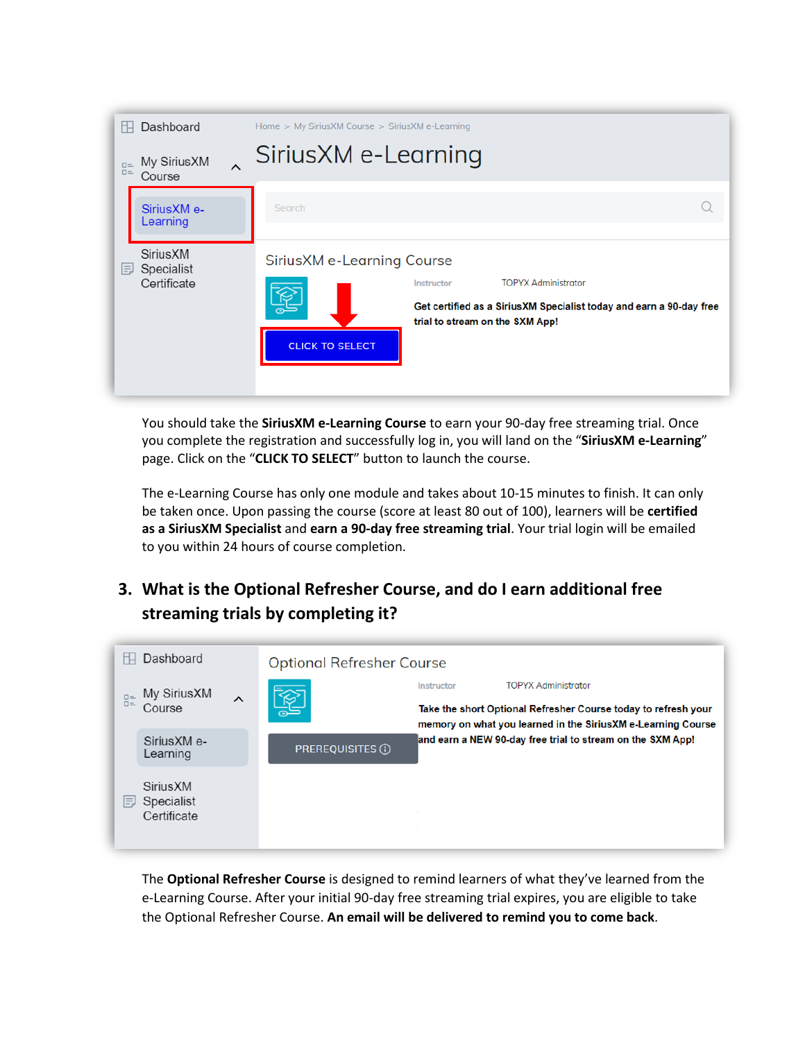

You should take the **SiriusXM e-Learning Course** to earn your 90-day free streaming trial. Once you complete the registration and successfully log in, you will land on the "**SiriusXM e-Learning**" page. Click on the "**CLICK TO SELECT**" button to launch the course.

The e-Learning Course has only one module and takes about 10-15 minutes to finish. It can only be taken once. Upon passing the course (score at least 80 out of 100), learners will be **certified as a SiriusXM Specialist** and **earn a 90-day free streaming trial**. Your trial login will be emailed to you within 24 hours of course completion.

**3. What is the Optional Refresher Course, and do I earn additional free streaming trials by completing it?** 



The **Optional Refresher Course** is designed to remind learners of what they've learned from the e-Learning Course. After your initial 90-day free streaming trial expires, you are eligible to take the Optional Refresher Course. **An email will be delivered to remind you to come back**.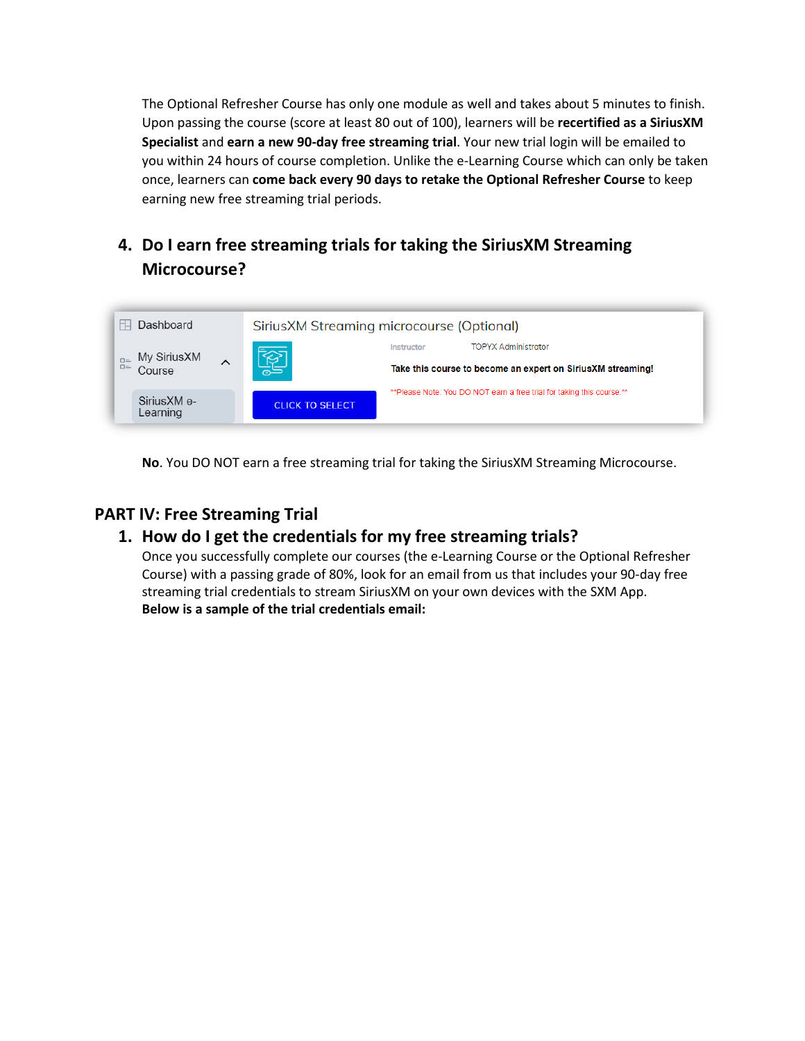The Optional Refresher Course has only one module as well and takes about 5 minutes to finish. Upon passing the course (score at least 80 out of 100), learners will be **recertified as a SiriusXM Specialist** and **earn a new 90-day free streaming trial**. Your new trial login will be emailed to you within 24 hours of course completion. Unlike the e-Learning Course which can only be taken once, learners can **come back every 90 days to retake the Optional Refresher Course** to keep earning new free streaming trial periods.

# **4. Do I earn free streaming trials for taking the SiriusXM Streaming Microcourse?**

| Dashboard                                         |   | SiriusXM Streaming microcourse (Optional)                                 |            |                                                                       |  |  |
|---------------------------------------------------|---|---------------------------------------------------------------------------|------------|-----------------------------------------------------------------------|--|--|
|                                                   |   |                                                                           | Instructor | <b>TOPYX Administrator</b>                                            |  |  |
| <sub>D=</sub> My SiriusXM<br><sup>D=</sup> Course | ᄉ | <b>RE</b><br>Take this course to become an expert on Sirius XM streaming! |            |                                                                       |  |  |
| Sirius XM e-                                      |   | <b>CLICK TO SELECT</b>                                                    |            | **Please Note: You DO NOT earn a free trial for taking this course.** |  |  |
| Learning                                          |   |                                                                           |            |                                                                       |  |  |

**No**. You DO NOT earn a free streaming trial for taking the SiriusXM Streaming Microcourse.

# **PART IV: Free Streaming Trial**

# **1. How do I get the credentials for my free streaming trials?**

Once you successfully complete our courses (the e-Learning Course or the Optional Refresher Course) with a passing grade of 80%, look for an email from us that includes your 90-day free streaming trial credentials to stream SiriusXM on your own devices with the SXM App. **Below is a sample of the trial credentials email:**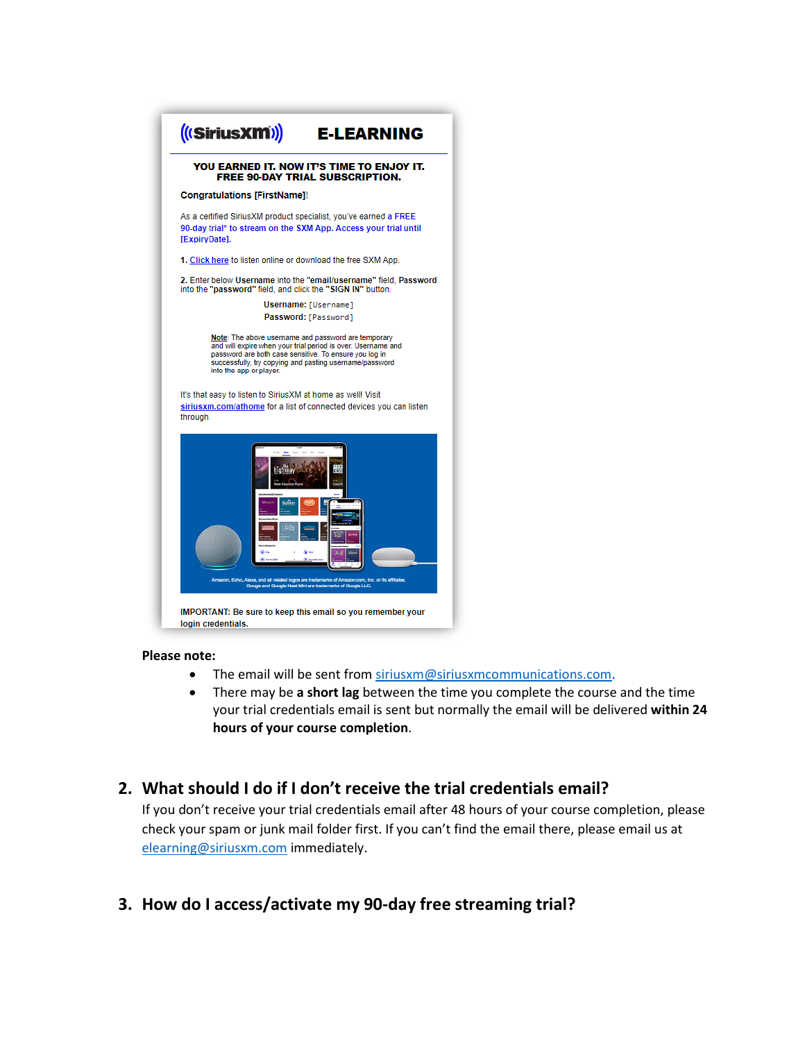

#### **Please note:**

- The email will be sent from [siriusxm@siriusxmcommunications.com.](mailto:siriusxm@siriusxmcommunications.com)
- There may be **a short lag** between the time you complete the course and the time your trial credentials email is sent but normally the email will be delivered **within 24 hours of your course completion**.

# **2. What should I do if I don't receive the trial credentials email?**

If you don't receive your trial credentials email after 48 hours of your course completion, please check your spam or junk mail folder first. If you can't find the email there, please email us at [elearning@siriusxm.com](mailto:elearning@siriusxm.com) immediately.

# **3. How do I access/activate my 90-day free streaming trial?**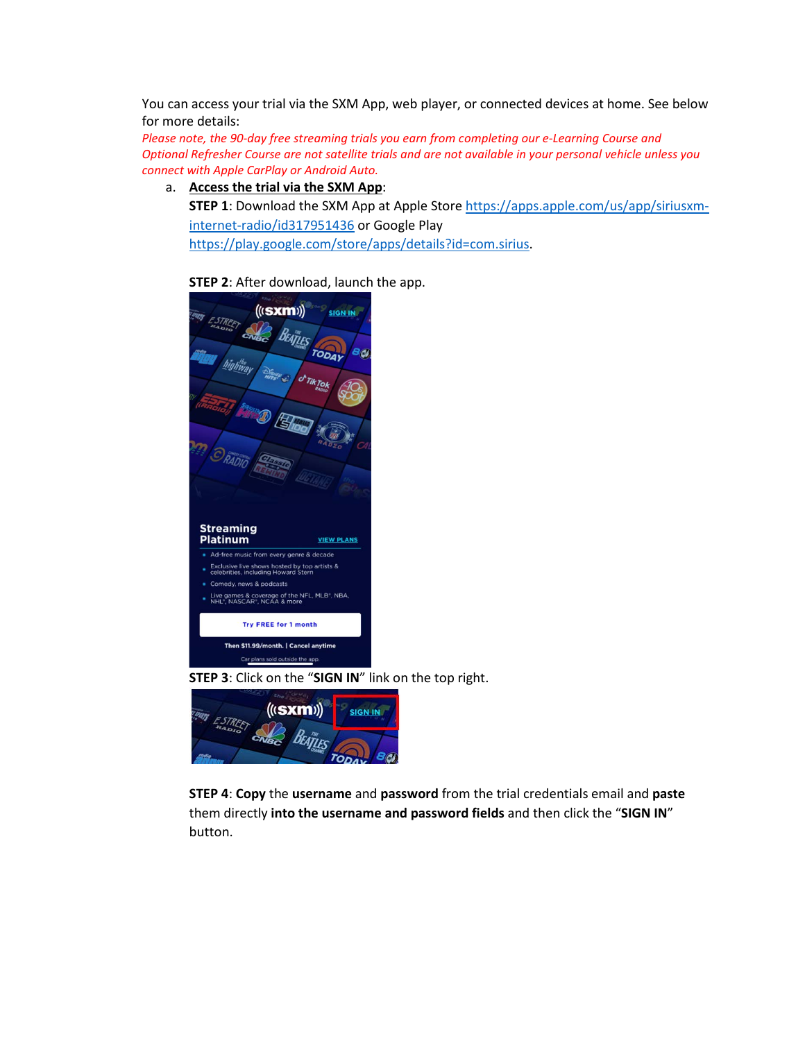You can access your trial via the SXM App, web player, or connected devices at home. See below for more details:

*Please note, the 90-day free streaming trials you earn from completing our e-Learning Course and Optional Refresher Course are not satellite trials and are not available in your personal vehicle unless you connect with Apple CarPlay or Android Auto.*

#### a. **Access the trial via the SXM App**:

**STEP 1**: Download the SXM App at Apple Store [https://apps.apple.com/us/app/siriusxm](https://apps.apple.com/us/app/siriusxm-internet-radio/id317951436)[internet-radio/id317951436](https://apps.apple.com/us/app/siriusxm-internet-radio/id317951436) or Google Play [https://play.google.com/store/apps/details?id=com.sirius.](https://play.google.com/store/apps/details?id=com.sirius)

 $((s**xm**))$ **SIGN IN BEATLES** TODAY **Streaming** Platinum **VIEW PLANS** Ad-free music from every genre & decade sive live shows hosted by top artists &<br>rities, including Howard Stern Comedy, news & podcasts Live games & coverage of the NFL, MLB", NBA,<br>NHL", NASCAR", NCAA & more Try FREE for 1 month Then \$11.99/month. | Cancel anytime Car plans sold outside the app

**STEP 2:** After download, launch the app.

**STEP 3**: Click on the "**SIGN IN**" link on the top right.



**STEP 4**: **Copy** the **username** and **password** from the trial credentials email and **paste** them directly **into the username and password fields** and then click the "**SIGN IN**" button.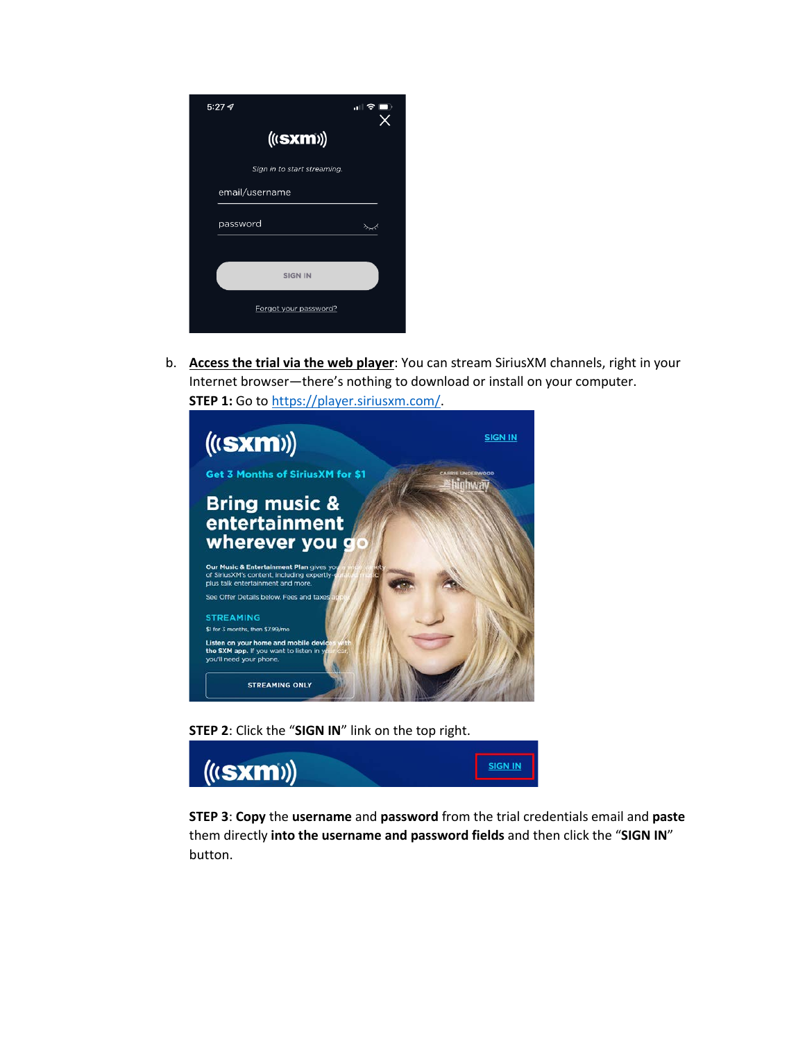| 5:277                       | $\frac{1}{\sqrt{1+\frac{1}{2}}}\sum_{i=1}^{\infty}\frac{1}{i}$ |
|-----------------------------|----------------------------------------------------------------|
| ((s <b>xm</b> ))            |                                                                |
| Sign in to start streaming. |                                                                |
| email/username              |                                                                |
| password                    |                                                                |
|                             |                                                                |
|                             |                                                                |
| <b>SIGN IN</b>              |                                                                |

b. **Access the trial via the web player**: You can stream SiriusXM channels, right in your Internet browser—there's nothing to download or install on your computer. **STEP 1:** Go t[o https://player.siriusxm.com/.](https://player.siriusxm.com/)



**STEP 2**: Click the "**SIGN IN**" link on the top right.



**STEP 3**: **Copy** the **username** and **password** from the trial credentials email and **paste** them directly **into the username and password fields** and then click the "**SIGN IN**" button.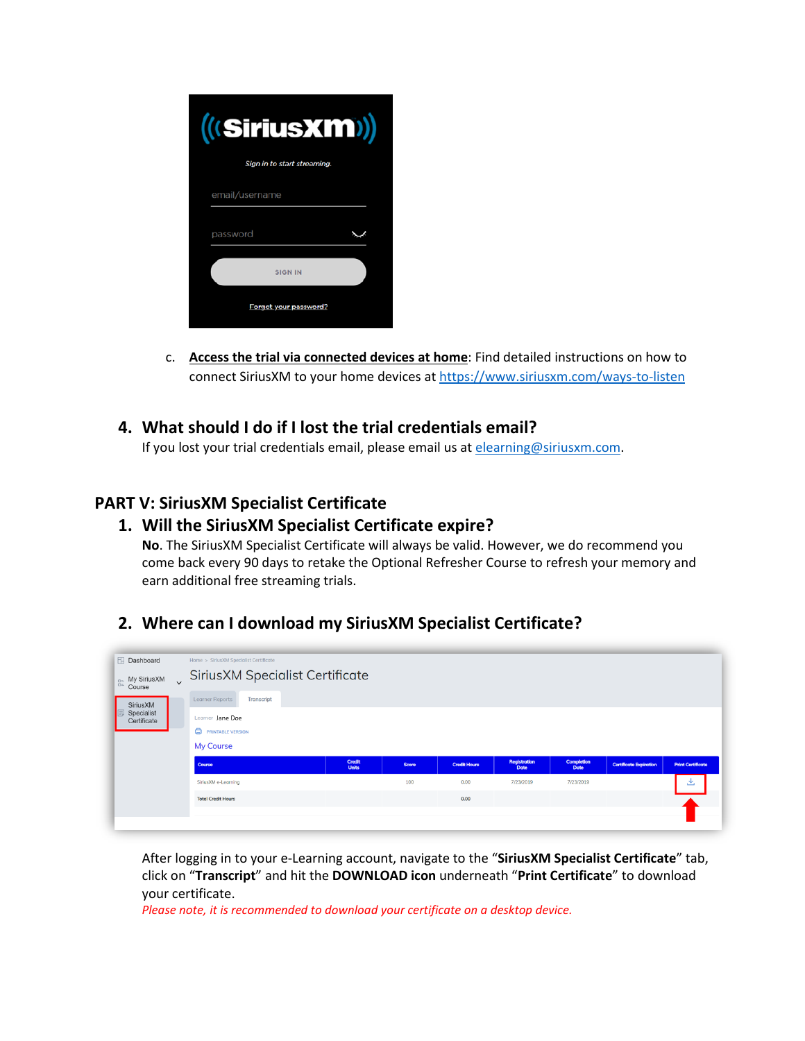| (((SiriusXM))<br>Sign in to start streaming. |  |
|----------------------------------------------|--|
| email/username                               |  |
| password                                     |  |
| <b>SIGN IN</b>                               |  |
| Forgot your password?                        |  |

c. **Access the trial via connected devices at home**: Find detailed instructions on how to connect SiriusXM to your home devices at<https://www.siriusxm.com/ways-to-listen>

# **4. What should I do if I lost the trial credentials email?**

If you lost your trial credentials email, please email us a[t elearning@siriusxm.com.](mailto:elearning@siriusxm.com)

# **PART V: SiriusXM Specialist Certificate**

# **1. Will the SiriusXM Specialist Certificate expire?**

**No**. The SiriusXM Specialist Certificate will always be valid. However, we do recommend you come back every 90 days to retake the Optional Refresher Course to refresh your memory and earn additional free streaming trials.

# **2. Where can I download my SiriusXM Specialist Certificate?**

| <b>El</b> Dashboard                         | Home > SiriusXM Specialist Certificate<br>$\left\  \begin{smallmatrix} \circledast \\ \circledast \end{smallmatrix} \begin{smallmatrix} \circledast \end{smallmatrix} \begin{smallmatrix} \circledast \end{smallmatrix} \right\ _{\sim}$ SiriusXM Specialist Certificate |                        |       |                     |                      |                           |                               |                          |
|---------------------------------------------|--------------------------------------------------------------------------------------------------------------------------------------------------------------------------------------------------------------------------------------------------------------------------|------------------------|-------|---------------------|----------------------|---------------------------|-------------------------------|--------------------------|
| SiriusXM<br>IE<br>Specialist<br>Certificate | <b>Transcript</b><br>Learner Reports<br>Learner Jane Doe<br>⊜.<br><b>PRINTABLE VERSION</b><br><b>My Course</b>                                                                                                                                                           |                        |       |                     |                      |                           |                               |                          |
|                                             | Course                                                                                                                                                                                                                                                                   | Credit<br><b>Units</b> | Score | <b>Credit Hours</b> | Registration<br>Date | <b>Completion</b><br>Date | <b>Certificate Expiration</b> | <b>Print Certificate</b> |
|                                             | SiriusXM e-Learning                                                                                                                                                                                                                                                      |                        | 100   | 0.00                | 7/23/2019            | 7/23/2019                 |                               | 也                        |
|                                             | <b>Total Credit Hours</b>                                                                                                                                                                                                                                                |                        |       | 0.00                |                      |                           |                               |                          |
|                                             |                                                                                                                                                                                                                                                                          |                        |       |                     |                      |                           |                               |                          |

After logging in to your e-Learning account, navigate to the "**SiriusXM Specialist Certificate**" tab, click on "**Transcript**" and hit the **DOWNLOAD icon** underneath "**Print Certificate**" to download your certificate.

*Please note, it is recommended to download your certificate on a desktop device.*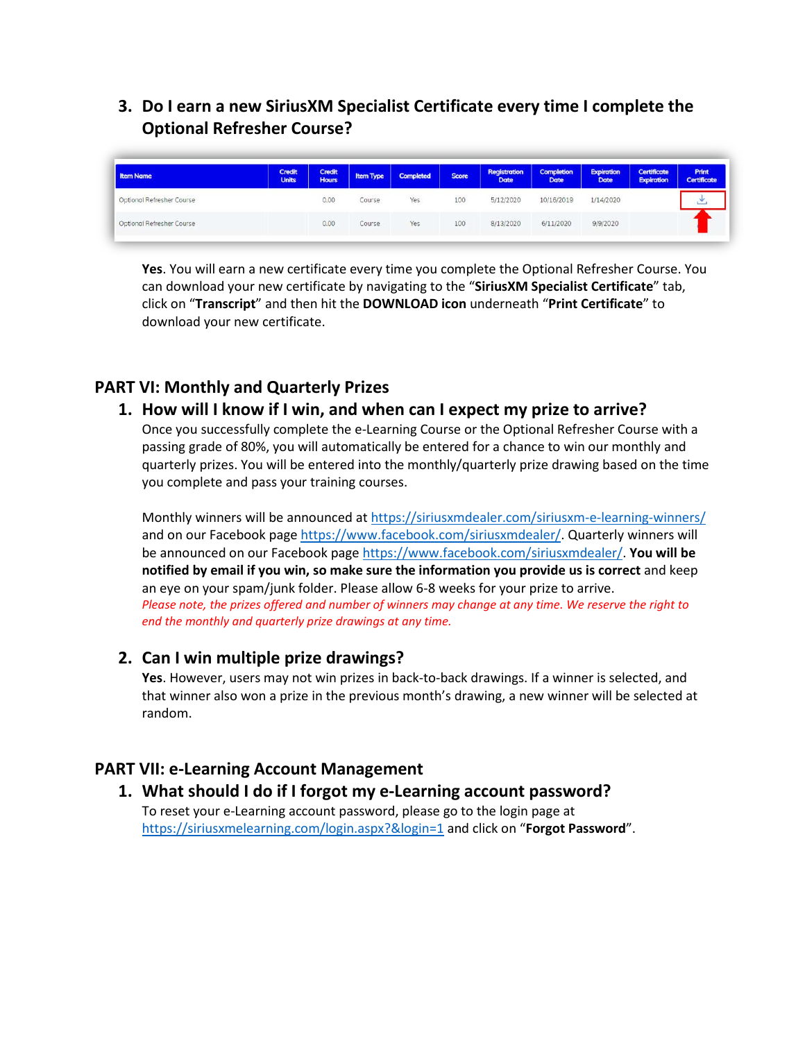# **3. Do I earn a new SiriusXM Specialist Certificate every time I complete the Optional Refresher Course?**

| <b>Item Name</b>          | <b>Credit</b><br><b>Units</b> | <b>Credit</b><br><b>Hours</b> | <b>Item Type</b> | <b>Completed</b> | <b>Score</b> | Registration<br><b>Date</b> | <b>Completion</b><br><b>Date</b> | <b>Expiration</b><br><b>Date</b> | <b>Certificate</b><br><b>Expiration</b> | Print<br><b>Certificate</b> |
|---------------------------|-------------------------------|-------------------------------|------------------|------------------|--------------|-----------------------------|----------------------------------|----------------------------------|-----------------------------------------|-----------------------------|
| Optional Refresher Course |                               | 0.00                          | Course           | Yes              | 100          | 5/12/2020                   | 10/16/2019                       | 1/14/2020                        |                                         | ۳                           |
| Optional Refresher Course |                               | 0.00                          | Course           | Yes              | 100          | 8/13/2020                   | 6/11/2020                        | 9/9/2020                         |                                         |                             |

**Yes**. You will earn a new certificate every time you complete the Optional Refresher Course. You can download your new certificate by navigating to the "**SiriusXM Specialist Certificate**" tab, click on "**Transcript**" and then hit the **DOWNLOAD icon** underneath "**Print Certificate**" to download your new certificate.

# **PART VI: Monthly and Quarterly Prizes**

# **1. How will I know if I win, and when can I expect my prize to arrive?**

Once you successfully complete the e-Learning Course or the Optional Refresher Course with a passing grade of 80%, you will automatically be entered for a chance to win our monthly and quarterly prizes. You will be entered into the monthly/quarterly prize drawing based on the time you complete and pass your training courses.

Monthly winners will be announced at<https://siriusxmdealer.com/siriusxm-e-learning-winners/> and on our Facebook page [https://www.facebook.com/siriusxmdealer/.](https://www.facebook.com/siriusxmdealer/) Quarterly winners will be announced on our Facebook page [https://www.facebook.com/siriusxmdealer/.](https://www.facebook.com/siriusxmdealer/) **You will be notified by email if you win, so make sure the information you provide us is correct** and keep an eye on your spam/junk folder. Please allow 6-8 weeks for your prize to arrive. *Please note, the prizes offered and number of winners may change at any time. We reserve the right to end the monthly and quarterly prize drawings at any time.*

# **2. Can I win multiple prize drawings?**

**Yes**. However, users may not win prizes in back-to-back drawings. If a winner is selected, and that winner also won a prize in the previous month's drawing, a new winner will be selected at random.

# **PART VII: e-Learning Account Management**

# **1. What should I do if I forgot my e-Learning account password?**

To reset your e-Learning account password, please go to the login page at <https://siriusxmelearning.com/login.aspx?&login=1> and click on "**Forgot Password**".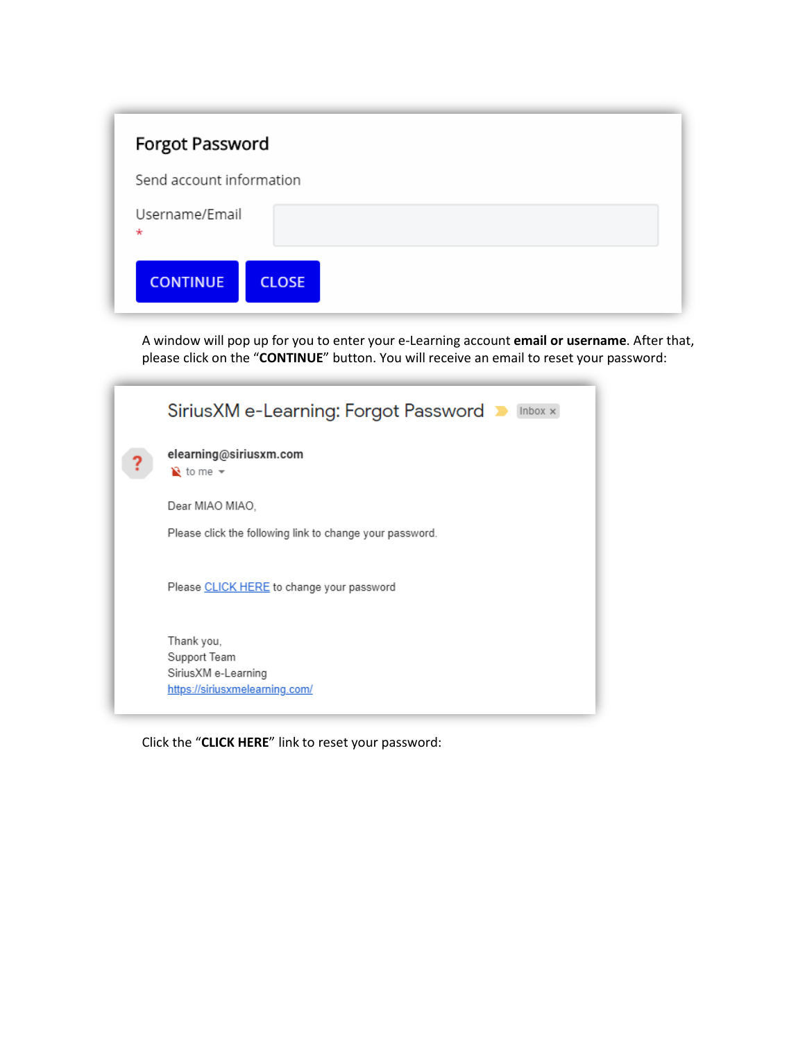| Forgot Password                 |  |
|---------------------------------|--|
| Send account information        |  |
| Username/Email<br>$\star$       |  |
| <b>CONTINUE</b><br><b>CLOSE</b> |  |

A window will pop up for you to enter your e-Learning account **email or username**. After that, please click on the "**CONTINUE**" button. You will receive an email to reset your password:

| SiriusXM e-Learning: Forgot Password ▶<br>$lnbox \times$                            |
|-------------------------------------------------------------------------------------|
| elearning@siriusxm.com<br>$\geq$ to me $\sim$                                       |
| Dear MIAO MIAO,                                                                     |
| Please click the following link to change your password.                            |
| Please CLICK HERE to change your password                                           |
| Thank you,<br>Support Team<br>SiriusXM e-Learning<br>https://siriusxmelearning.com/ |

Click the "**CLICK HERE**" link to reset your password: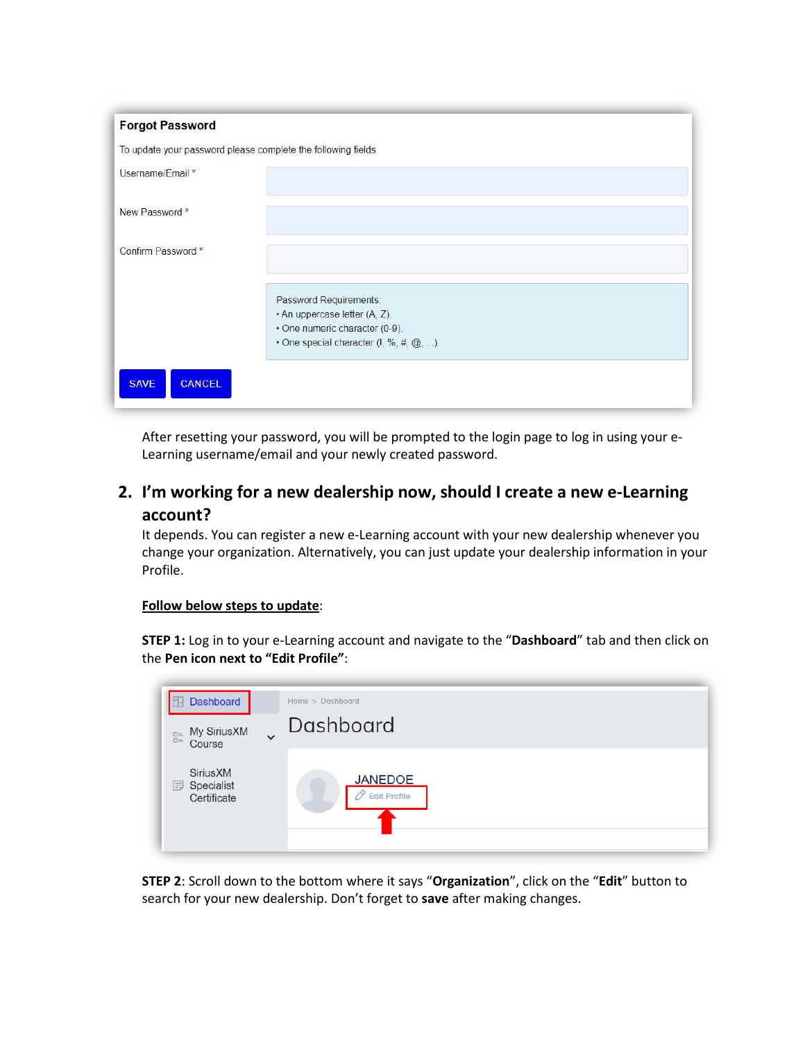| <b>Forgot Password</b> |                                                                                                                                                                             |
|------------------------|-----------------------------------------------------------------------------------------------------------------------------------------------------------------------------|
|                        | To update your password please complete the following fields                                                                                                                |
| Username/Email *       |                                                                                                                                                                             |
| New Password *         |                                                                                                                                                                             |
| Confirm Password *     |                                                                                                                                                                             |
|                        | Password Requirements:<br>• An uppercase letter (A, Z).<br>· One numeric character (0-9).<br>• One special character $(1, \frac{6}{6}, \frac{4}{6}, \frac{6}{6}, \ldots)$ . |
| CANCEL<br><b>SAVE</b>  |                                                                                                                                                                             |

After resetting your password, you will be prompted to the login page to log in using your e-Learning username/email and your newly created password.

# **2. I'm working for a new dealership now, should I create a new e-Learning account?**

It depends. You can register a new e-Learning account with your new dealership whenever you change your organization. Alternatively, you can just update your dealership information in your Profile.

#### **Follow below steps to update**:

**STEP 1:** Log in to your e-Learning account and navigate to the "**Dashboard**" tab and then click on the **Pen icon next to "Edit Profile"**:

| <b>Dashboard</b>                                                                                                              | Home > Dashboard                      |
|-------------------------------------------------------------------------------------------------------------------------------|---------------------------------------|
| My SiriusXM                                                                                                                   | Dashboard                             |
| $\begin{array}{ccc} & \mathbb{O}^{\pm} & \mathbb{N} \mathbf{y} \\ & \mathbb{O}^{\pm} & \mathbb{C} \mathsf{ourse} \end{array}$ | $\checkmark$                          |
| <b>Sirius XM</b><br>Specialist<br>$\equiv$<br>Certificate                                                                     | <b>JANEDOE</b><br><b>Edit Profile</b> |

**STEP 2**: Scroll down to the bottom where it says "**Organization**", click on the "**Edit**" button to search for your new dealership. Don't forget to **save** after making changes.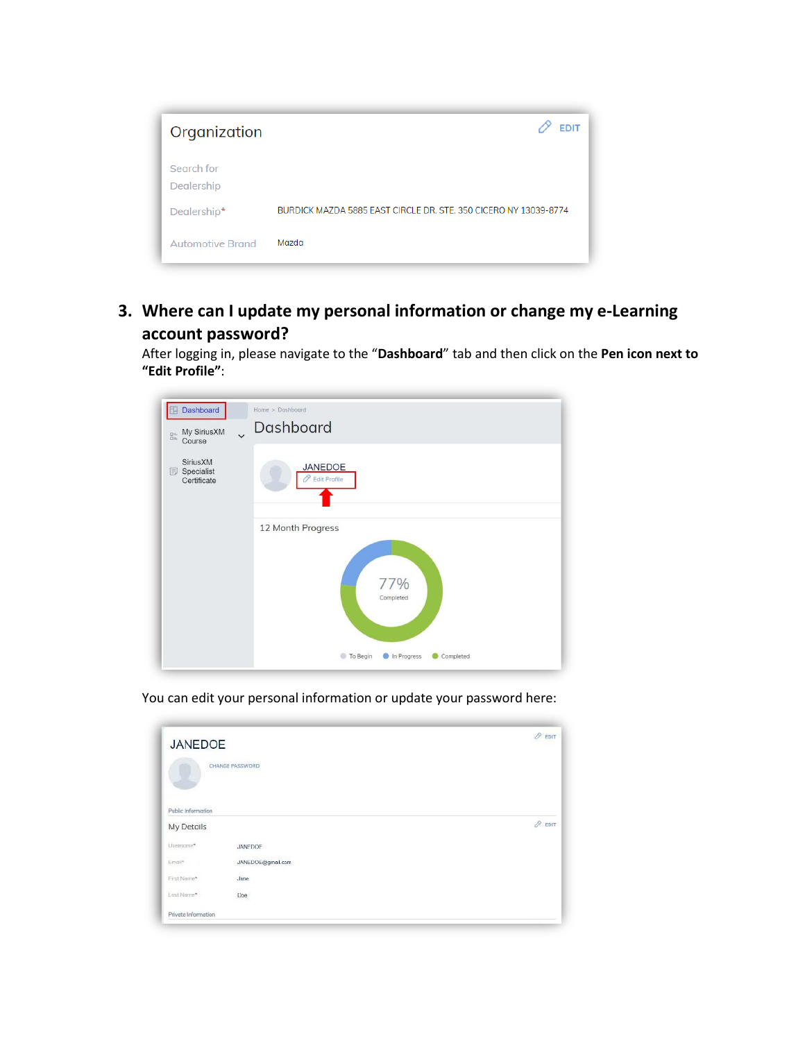| Organization             | <b>EDIT</b>                                                      |
|--------------------------|------------------------------------------------------------------|
| Search for<br>Dealership |                                                                  |
| Dealership*              | BURDICK MAZDA 5885 FAST CIRCLE DR. STE. 350 CICERO NY 13039-8774 |
| <b>Automotive Brand</b>  | Mazda                                                            |

**3. Where can I update my personal information or change my e-Learning account password?** 

After logging in, please navigate to the "**Dashboard**" tab and then click on the **Pen icon next to "Edit Profile"**:



You can edit your personal information or update your password here:

| <b>JANEDOE</b>                   | CHANGE PASSWORD   | 0<br>EDIT |
|----------------------------------|-------------------|-----------|
| Public Information<br>My Details |                   | 0<br>EDIT |
| Usemame*                         | <b>JANEDOF</b>    |           |
| Email*                           | JANEDOE@gmail.com |           |
| First Name*                      | Jane              |           |
| Last Name*                       | <b>Doe</b>        |           |
| Private Information              |                   |           |